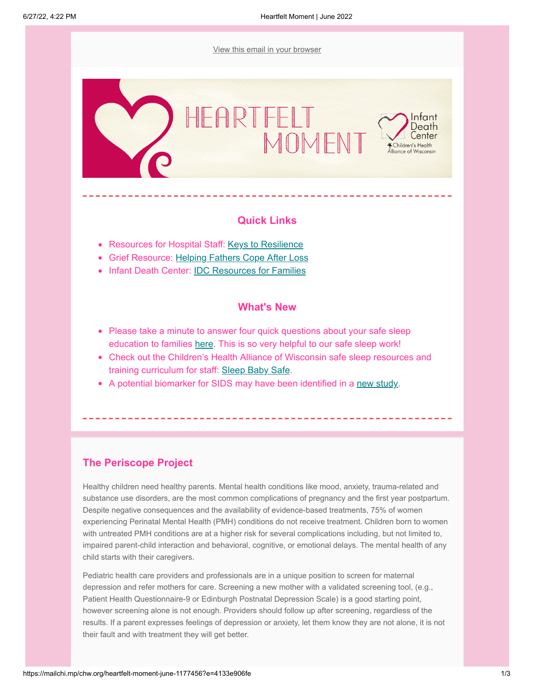[View this email in your browser](https://mailchi.mp/chw.org/heartfelt-moment-june-1177456?e=4133e906fe)



## **Quick Links**

- Resources for Hospital Staff: [Keys to Resilience](https://www.everydayhealth.com/wellness/resilience/)
- Grief Resource: [Helping Fathers Cope After Loss](https://www.giveinkind.com/articles/help-father-cope-miscarriage-infant-death)
- Infant Death Center: [IDC Resources for Families](https://www.chawisconsin.org/initiatives/grief-and-bereavement/grieving-families/)

### **What's New**

- Please take a minute to answer four quick questions about your safe sleep education to families [here.](https://www.surveymonkey.com/r/27JBYGZ) This is so very helpful to our safe sleep work!
- Check out the Children's Health Alliance of Wisconsin safe sleep resources and training curriculum for staff: [Sleep Baby Safe.](https://www.chawisconsin.org/initiatives/injury-prevention-death-review/sleep-baby-safe/)
- A potential biomarker for SIDS may have been identified in a [new study](https://www.healthline.com/health-news/sids-study-experts-react-to-biomarker-findings-and-offer-advice-to-parents).

# **The Periscope Project**

Healthy children need healthy parents. Mental health conditions like mood, anxiety, trauma-related and substance use disorders, are the most common complications of pregnancy and the first year postpartum. Despite negative consequences and the availability of evidence-based treatments, 75% of women experiencing Perinatal Mental Health (PMH) conditions do not receive treatment. Children born to women with untreated PMH conditions are at a higher risk for several complications including, but not limited to, impaired parent-child interaction and behavioral, cognitive, or emotional delays. The mental health of any child starts with their caregivers.

Pediatric health care providers and professionals are in a unique position to screen for maternal depression and refer mothers for care. Screening a new mother with a validated screening tool, (e.g., Patient Health Questionnaire-9 or Edinburgh Postnatal Depression Scale) is a good starting point, however screening alone is not enough. Providers should follow up after screening, regardless of the results. If a parent expresses feelings of depression or anxiety, let them know they are not alone, it is not their fault and with treatment they will get better.